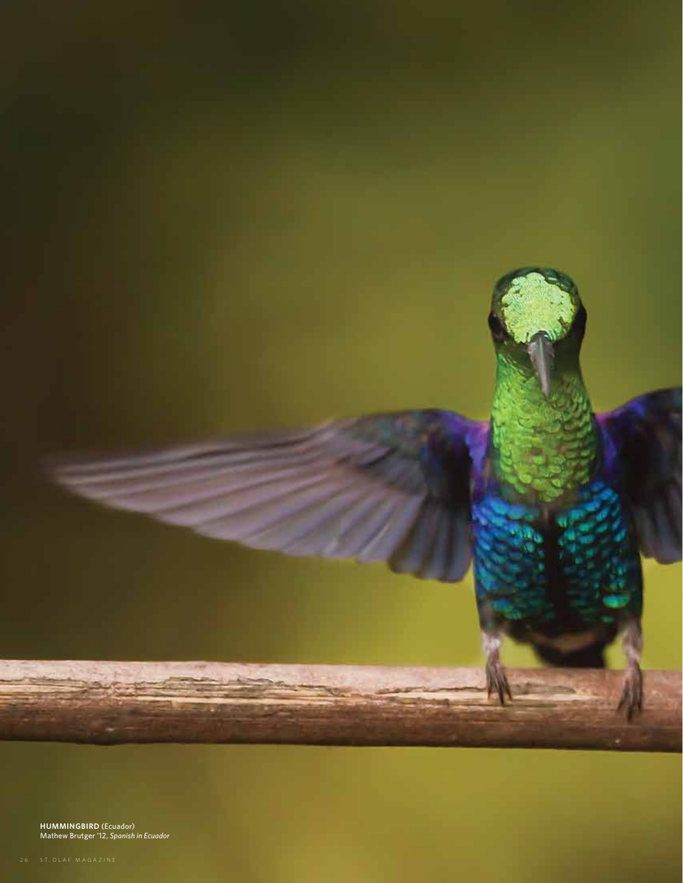

**Hummingbird** (Ecuador) Mathew Brutger '12, *Spanish in Ecuador*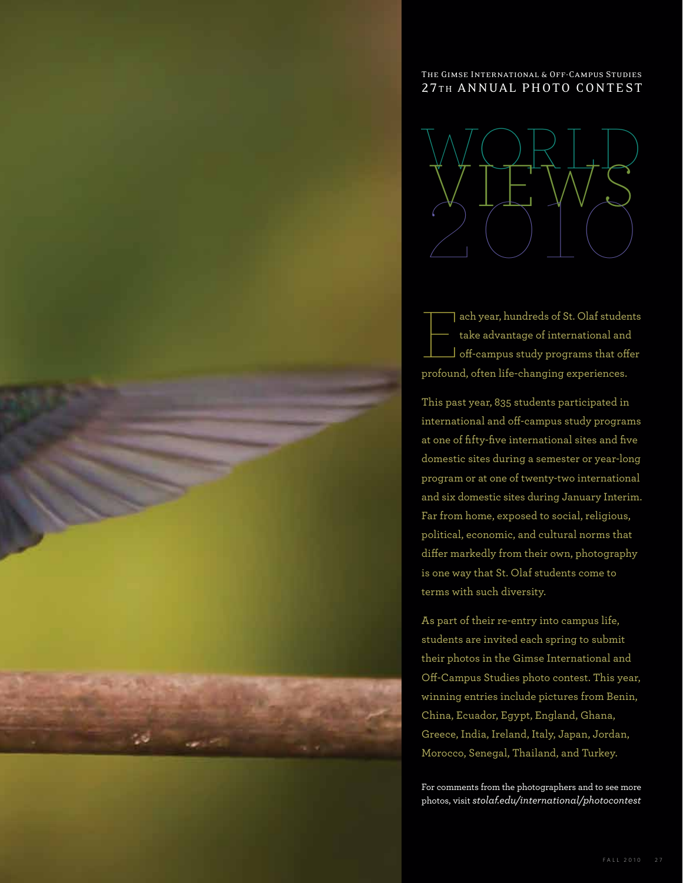## The Gimse International & Off-Campus Studies 27TH ANNUAL PHOTO CONTEST



E ach year, hundreds of St. Olaf students take advantage of international and  $\Box$  off-campus study programs that offer profound, often life-changing experiences.

This past year, 835 students participated in international and off-campus study programs at one of fifty-five international sites and five domestic sites during a semester or year-long program or at one of twenty-two international and six domestic sites during January Interim. Far from home, exposed to social, religious, political, economic, and cultural norms that differ markedly from their own, photography is one way that St. Olaf students come to terms with such diversity.

As part of their re-entry into campus life, students are invited each spring to submit their photos in the Gimse International and Off-Campus Studies photo contest. This year, winning entries include pictures from Benin, China, Ecuador, Egypt, England, Ghana, Greece, India, Ireland, Italy, Japan, Jordan, Morocco, Senegal, Thailand, and Turkey.

For comments from the photographers and to see more photos, visit *stolaf.edu/international/photocontest*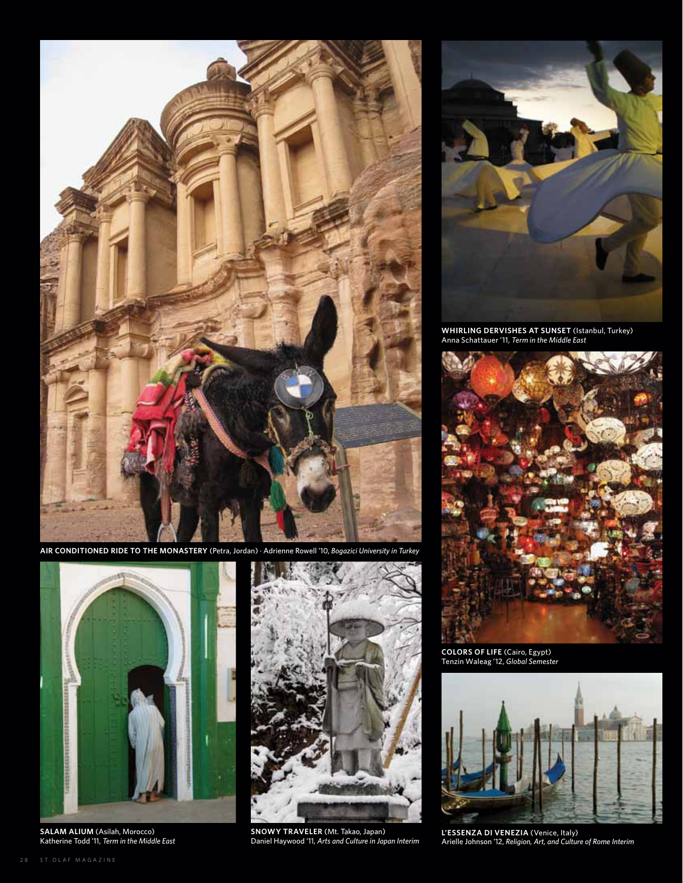

**Air Conditioned Ride to the Monastery** (Petra, Jordan) · Adrienne Rowell '10, *Bogazici University in Turkey*



**Salam Alium** (Asilah, Morocco) Katherine Todd '11, *Term in the Middle East*



**Snowy Traveler** (Mt. Takao, Japan) Daniel Haywood '11, *Arts and Culture in Japan Interim*



**Whirling Dervishes at Sunset** (Istanbul, Turkey) Anna Schattauer '11, *Term in the Middle East*



**Colors of Life** (Cairo, Egypt) Tenzin Waleag '12, *Global Semester*



**L'essenza di Venezia** (Venice, Italy) Arielle Johnson '12, *Religion, Art, and Culture of Rome Interim*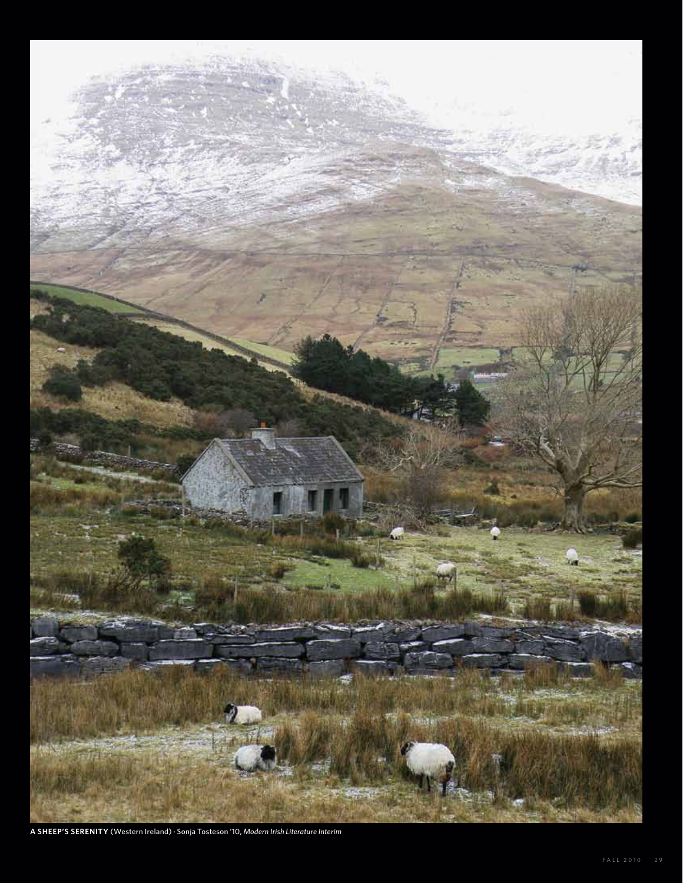

A SHEEP'S SERENITY (Western Ireland) · Sonja Tosteson '10, Modern Irish Literature Interim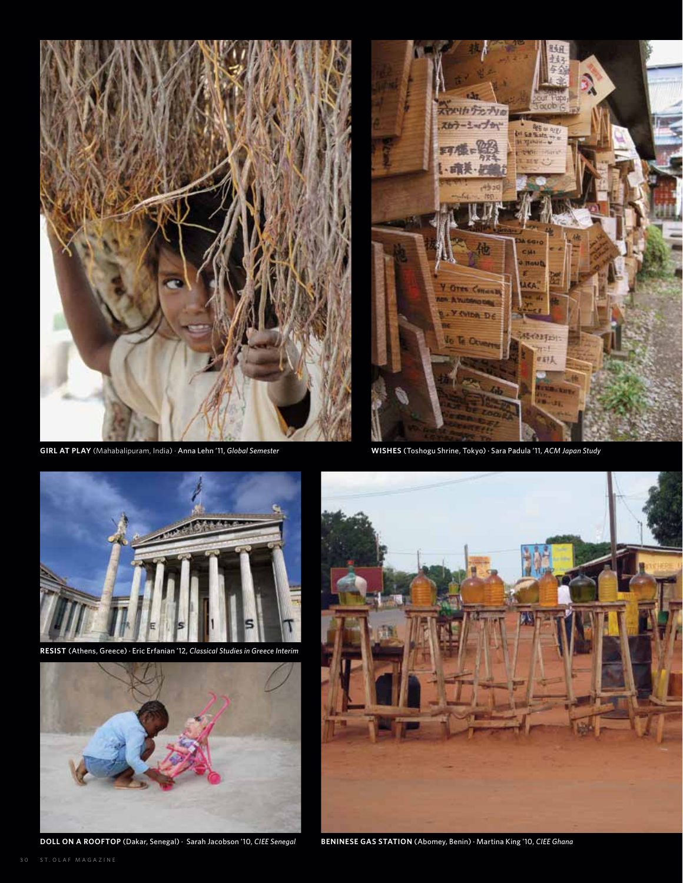

**Girl at Play** (Mahabalipuram, India) · Anna Lehn '11, *Global Semester* **Wishes** (Toshogu Shrine, Tokyo) · Sara Padula '11, *ACM Japan Study*





**Resist** (Athens, Greece) · Eric Erfanian '12, *Classical Studies in Greece Interim*



**Doll on a Rooftop** (Dakar, Senegal) · Sarah Jacobson '10, *CIEE Senegal*



**Beninese Gas Station** (Abomey, Benin) · Martina King '10, *CIEE Ghana*